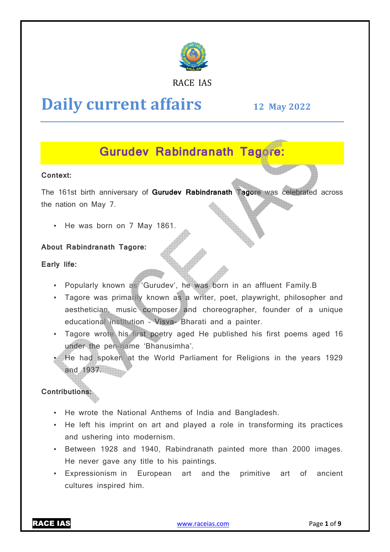

#### RACE IAS

# **Daily current affairs**

**12 May May 2022**

## **Gurudev Rabindranath Tagore:**

#### **Context:**

The 161st birth anniversary of **Gurudev Rabindranath Tagore** was celebrated across the nation on May 7.

• He was born on 7 May 1861.

#### **About Rabindranath Tagore:**

**Early life:** 

- Popularly known as 'Gurudev', he was born in an affluent Family.B
- Tagore was primarily known as a writer, poet, playwright, philosopher and aesthetician, music composer and choreographer, founder of a unique educational institution al institution – Visva- Bharati and a painter.
- Tagore wrote his first poetry aged He published his first poems aged 16 under the pen-name 'Bhanusimha'.
- He had spoken at the World Parliament for Religions in the years 1929 and 1937.

#### **Contributions:**

- He wrote the National Anthems of India and Bangladesh.
- He left his imprint on art and played a role in transforming its practices and ushering into modernism.
- Between 1928 and 1940, Rabindranath painted more than 2000 images. He never gave any title to his paintings.
- Expressionism in European art and the cultures inspired him. primitive art of ancient

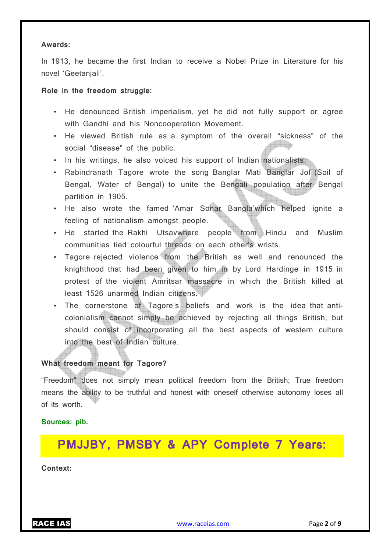#### **Awards:**

In 1913, he became the first Indian to receive a Nobel Prize in Literature for his novel 'Geetanjali'.

#### **Role in the freedom struggle:**

- He denounced British imperialism, yet he did not fully support or agree with Gandhi and his Noncooperation Movement.
- He viewed British rule as a symptom of the overall "sickness" of the social "disease" of the public.
- In his writings, he also voiced his support of Indian nationalists.
- Rabindranath Tagore wrote the song Banglar Mati Banglar Jol (Soil of Bengal, Water of Bengal) to unite the Bengali population after Bengal partition in 1905.
- He also wrote the famed 'Amar Sonar Bangla'which helped ignite a feeling of nationalism amongst people.
- He started the Rakhi Utsavwhere people from Hindu and Muslim communities tied colourful threads on each other's wrists.
- Tagore rejected violence from the British as well and renounced the knighthood that had been given to him in by Lord Hardinge in 1915 in protest of the violent Amritsar massacre in which the British killed at least 1526 unarmed Indian citizens.
- The cornerstone of Tagore's beliefs and work is the idea that anticolonialism cannot simply be achieved by rejecting all things British, but should consist of incorporating all the best aspects of western culture into the best of Indian culture.

#### **What freedom meant for Tagore?**

"Freedom" does not simply mean political freedom from the British; True freedom means the ability to be truthful and honest with oneself otherwise autonomy loses all of its worth.

#### **Sources: pib.**

# **PMJJBY, PMSBY & APY Complete 7 Years:**

**Context:**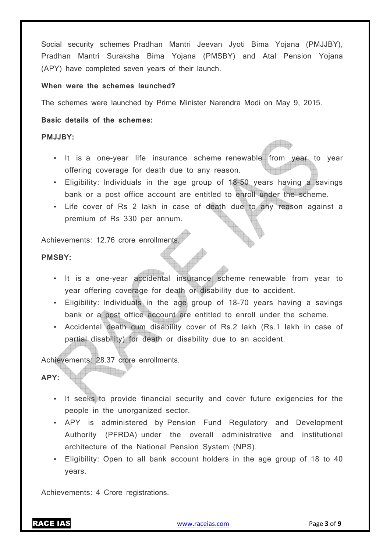Social security schemes Pradhan Mantri Jeevan Jyoti Bima Yojana (PMJJBY), Pradhan Mantri Suraksha Bima Yojana (PMSBY) and Atal Pension Yojana (APY) have completed seven years of their launch.

#### **When were the schemes launched?**

The schemes were launched by Prime Minister Narendra Modi on May 9, 2015.

#### **Basic details of the schemes:**

#### **PMJJBY:**

- It is a one-year life insurance scheme renewable from year to year offering coverage for death due to any reason.
- Eligibility: Individuals in the age group of 18-50 years having a savings bank or a post office account are entitled to enroll under the scheme.
- Life cover of Rs 2 lakh in case of death due to any reason against a premium of Rs 330 per annum.

Achievements: 12.76 crore enrollments.

#### **PMSBY:**

- It is a one-year accidental insurance scheme renewable from year to year offering coverage for death or disability due to accident.
- Eligibility: Individuals in the age group of 18-70 years having a savings bank or a post office account are entitled to enroll under the scheme.
- Accidental death cum disability cover of Rs.2 lakh (Rs.1 lakh in case of partial disability) for death or disability due to an accident.

Achievements: 28.37 crore enrollments.

a kabupatèn S

#### **APY:**

- It seeks to provide financial security and cover future exigencies for the people in the unorganized sector.
- APY is administered by Pension Fund Regulatory and Development Authority (PFRDA) under the overall administrative and institutional architecture of the National Pension System (NPS).
- Eligibility: Open to all bank account holders in the age group of 18 to 40 years.

Achievements: 4 Crore registrations.

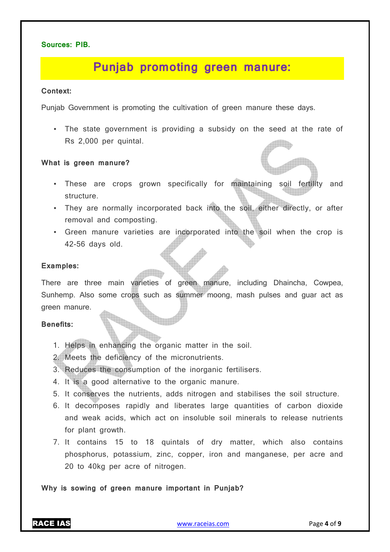#### **Sources: PIB.**

## **Punjab promoting green manure:**

#### **Context:**

Punjab Government is promoting the cultivation of green manure these days.

• The state government is providing a subsidy on the seed at the rate of Rs 2,000 per quintal.

#### **What is green manure?**

- These are crops grown specifically for maintaining soil fertility and structure.
- They are normally incorporated back into the soil, either directly, or after removal and composting.
- Green manure varieties are incorporated into the soil when the crop is 42-56 days old.

#### **Examples:**

There are three main varieties of green manure, including Dhaincha, Cowpea, Sunhemp. Also some crops such as summer moong, mash pulses and guar act as green manure.

#### **Benefits:**

1. Helps in enhancing the organic matter in the soil.

2. Meets the deficiency of the micronutrients.

- 3. Reduces the consumption of the inorganic fertilisers.
- 4. It is a good alternative to the organic manure.
- 5. It conserves the nutrients, adds nitrogen and stabilises the soil structure.
- 6. It decomposes rapidly and liberates large quantities of carbon dioxide and weak acids, which act on insoluble soil minerals to release nutrients for plant growth.
- 7. It contains 15 to 18 quintals of dry matter, which also contains phosphorus, potassium, zinc, copper, iron and manganese, per acre and 20 to 40kg per acre of nitrogen.

**Why is sowing of green manure important in Punjab?**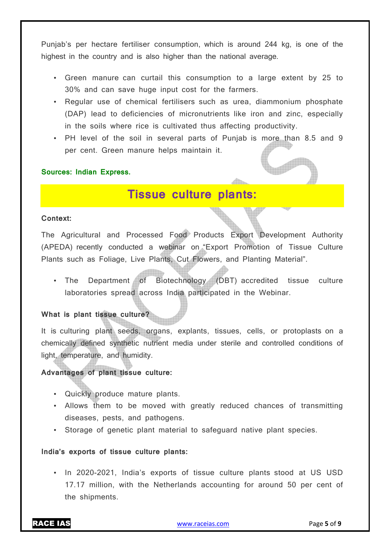Punjab's per hectare fertiliser consumption, which is around 244 kg, is one of the highest in the country and is also higher than the national average.

- Green manure can curtail this consumption to a large extent by 25 to 30% and can save huge input cost for the farmers.
- Regular use of chemical fertilisers such as urea, diammonium phosphate (DAP) lead to deficiencies of micronutrients like iron and zinc, especially in the soils where rice is cultivated thus affecting productivity.
- PH level of the soil in several parts of Punjab is more than 8.5 and 9 per cent. Green manure helps maintain it.

#### **Sources: Indian Express.**

### **Tissue culture plants:**

#### **Context:**

The Agricultural and Processed Food Products Export Development Authority (APEDA) recently conducted a webinar on "Export Promotion of Tissue Culture Plants such as Foliage, Live Plants, Cut Flowers, and Planting Material".

• The Department of Biotechnology (DBT) accredited tissue culture laboratories spread across India participated in the Webinar.

#### **What is plant tissue culture?**

It is culturing plant seeds, organs, explants, tissues, cells, or protoplasts on a chemically defined synthetic nutrient media under sterile and controlled conditions of light, temperature, and humidity.

#### **Advantages of plant tissue culture:**

- Quickly produce mature plants.
- Allows them to be moved with greatly reduced chances of transmitting diseases, pests, and pathogens.
- Storage of genetic plant material to safeguard native plant species.

#### **India's exports of tissue culture plants:**

• In 2020-2021, India's exports of tissue culture plants stood at US USD 17.17 million, with the Netherlands accounting for around 50 per cent of the shipments.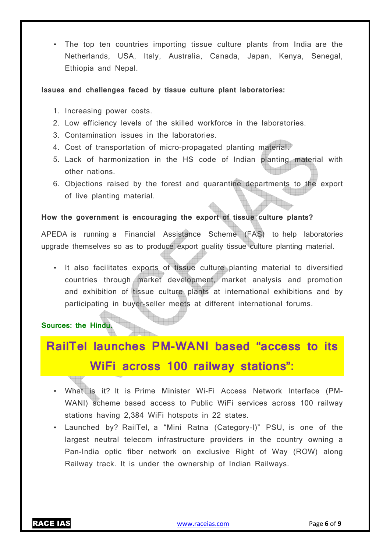• The top ten countries importing tissue culture plants from India are the Netherlands, USA, Italy, Australia, Canada, Japan, Kenya, Senegal, Ethiopia and Nepal.

#### **Issues and challenges faced by tissue culture plant laboratories:**

- 1. Increasing power costs.
- 2. Low efficiency levels of the skilled workforce in the laboratories.
- 3. Contamination issues in the laboratories.
- 4. Cost of transportation of micro-propagated planting material.
- 5. Lack of harmonization in the HS code of Indian planting material with other nations.
- 6. Objections raised by the forest and quarantine departments to the export of live planting material.

#### **How the government is encouraging the export of tissue culture plants?**

APEDA is running a Financial Assistance Scheme (FAS) to help laboratories upgrade themselves so as to produce export quality tissue culture planting material.

• It also facilitates exports of tissue culture planting material to diversified countries through market development, market analysis and promotion and exhibition of tissue culture plants at international exhibitions and by participating in buyer-seller meets at different international forums.

#### **Sources: the Hindu.**

# **RailTel launches PM-WANI based "access to its WiFi across 100 railway stations":**

- What is it? It is Prime Minister Wi-Fi Access Network Interface (PM-WANI) scheme based access to Public WiFi services across 100 railway stations having 2,384 WiFi hotspots in 22 states.
- Launched by? RailTel, a "Mini Ratna (Category-I)" PSU, is one of the largest neutral telecom infrastructure providers in the country owning a Pan-India optic fiber network on exclusive Right of Way (ROW) along Railway track. It is under the ownership of Indian Railways.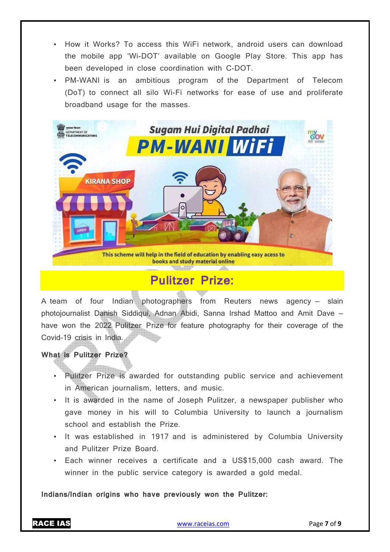- How it Works? To access this WiFi network, android users can download the mobile app 'Wi-DOT' available on Google Play Store. This app has been developed in close coordination with C-DOT.
- PM-WANI is an ambitious program of the Department of Telecom (DoT) to connect all silo Wi-Fi networks for ease of use and proliferate broadband usage for the masses.



# **Pulitzer Prize:**

A team of four Indian photographers from Reuters news agency — slain photojournalist Danish Siddiqui, Adnan Abidi, Sanna Irshad Mattoo and Amit Dave have won the 2022 Pulitzer Prize for feature photography for their coverage of the Covid-19 crisis in India.

**What is Pulitzer Prize?** 

- Pulitzer Prize is awarded for outstanding public service and achievement in American journalism, letters, and music.
- It is awarded in the name of Joseph Pulitzer, a newspaper publisher who gave money in his will to Columbia University to launch a journalism school and establish the Prize.
- It was established in 1917 and is administered by Columbia University and Pulitzer Prize Board.
- Each winner receives a certificate and a US\$15,000 cash award. The winner in the public service category is awarded a gold medal.

**Indians/Indian origins who have previously won the Pulitzer:**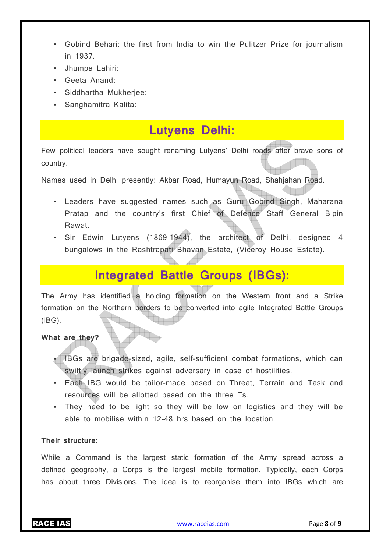- Gobind Behari: the first from India to win the Pulitzer Prize for journalism in 1937.
- Jhumpa Lahiri:
- Geeta Anand:
- Siddhartha Mukherjee:
- Sanghamitra Kalita:

### **Lutyens Delhi:**

Few political leaders have sought renaming Lutyens' Delhi roads after brave sons of country.

Names used in Delhi presently: Akbar Road, Humayun Road, Shahjahan Road.

- Leaders have suggested names such as Guru Gobind Singh, Maharana Pratap and the country's first Chief of Defence Staff General Bipin Rawat.
- Sir Edwin Lutyens (1869–1944), the architect of Delhi, designed 4 bungalows in the Rashtrapati Bhavan Estate, (Viceroy House Estate).

# **Integrated Battle Groups (IBGs):**

The Army has identified a holding formation on the Western front and a Strike formation on the Northern borders to be converted into agile Integrated Battle Groups (IBG).

#### **What are they?**

- IBGs are brigade-sized, agile, self-sufficient combat formations, which can swiftly launch strikes against adversary in case of hostilities.
- Each IBG would be tailor-made based on Threat, Terrain and Task and resources will be allotted based on the three Ts.
- They need to be light so they will be low on logistics and they will be able to mobilise within 12-48 hrs based on the location.

#### **Their structure:**

While a Command is the largest static formation of the Army spread across a defined geography, a Corps is the largest mobile formation. Typically, each Corps has about three Divisions. The idea is to reorganise them into IBGs which are